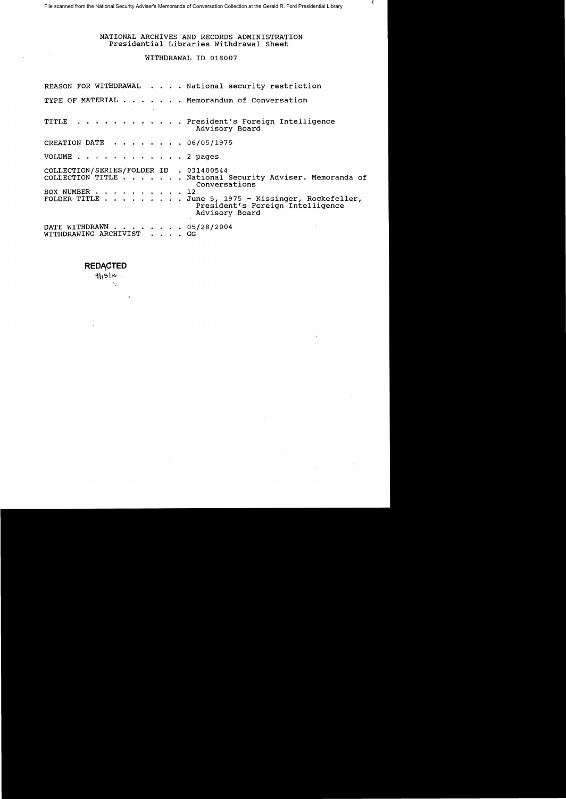# NATIONAL ARCHIVES AND RECORDS ADMINISTRATION Presidential Libraries withdrawal Sheet

⊣ f

# WITHDRAWAL ID 018007

|                                                          | REASON FOR WITHDRAWAL National security restriction                                                                                                                                             |
|----------------------------------------------------------|-------------------------------------------------------------------------------------------------------------------------------------------------------------------------------------------------|
| the contract of the contract of the contract of the      | TYPE OF MATERIAL Memorandum of Conversation                                                                                                                                                     |
|                                                          | TITLE President's Foreign Intelligence<br>Advisory Board                                                                                                                                        |
| CREATION DATE $\cdots$ , 06/05/1975                      |                                                                                                                                                                                                 |
| VOLUME 2 pages                                           |                                                                                                                                                                                                 |
| COLLECTION/SERIES/FOLDER ID . 031400544<br>BOX NUMBER 12 | COLLECTION TITLE National Security Adviser. Memoranda of<br>Conversations<br>FOLDER TITLE $\ldots$ June 5, 1975 - Kissinger, Rockefeller,<br>President's Foreign Intelligence<br>Advisory Board |
| DATE WITHDRAWN 05/28/2004<br>WITHDRAWING ARCHIVIST GG    |                                                                                                                                                                                                 |

# **REDACTED**

Ń,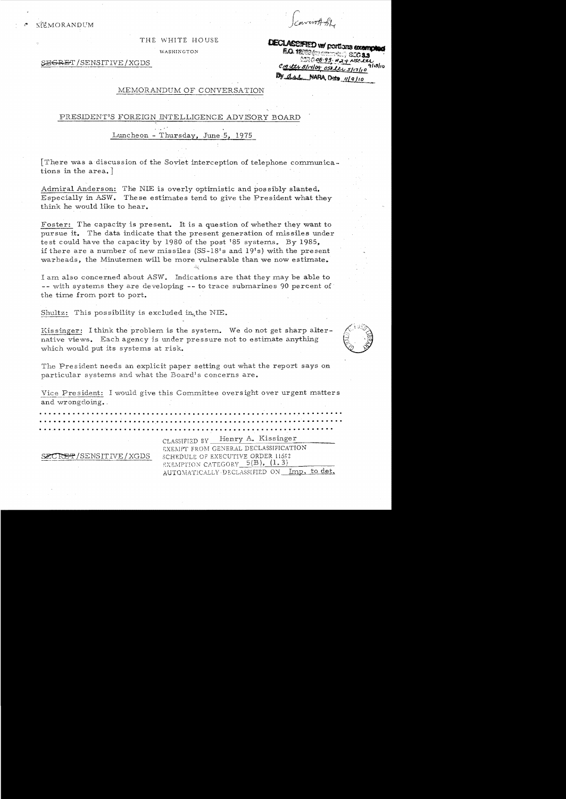nverott BL

THE WHITE HOUSE

WASHINGTON

E<del>GRE</del>T/SENSITIVE/XGDS

DECLASSIFIED w/ portions exempted **EQ 1250 for compare** ©ি ০৪· ৭৪ · ৮ ২ -CIA etr S/14/09 OSO ltr By due NARA, Date 119/10

### MEMORANDUM OF CONVERSATION

#### PRESIDENT'S FOREIGN INTELLIGENCE ADVISORY BOARD

#### Luncheon - Thursday, June 5, 1975

There was a discussion of the Soviet interception of telephone communications in the area.

Admiral Anderson: The NIE is overly optimistic and possibly slanted. Especially in ASW. These estimates tend to give the President what they think he would like to hear.

Foster: The capacity is present. It is a question of whether they want to pursue it. The data indicate that the present generation of missiles under test could have the capacity by 1980 of the post '85 systems. By 1985, if there are a number of new missiles  $(SS-18)$ 's and 19's) with the present warheads, the Minutemen will be more vulnerable than we now estimate.

I am also concerned about ASW. Indications are that they may be able to -- with systems they are developing -- to trace submarines 90 percent of the time from port to port.

Shultz: This possibility is excluded in the NIE.

Kissinger: I think the problem is the system. We do not get sharp alternative views. Each agency is under pressure not to estimate anything which would put its systems at risk.

The President needs an explicit paper setting out what the report says on particular systems and what the Board's concerns are.

Vice President: I would give this Committee oversight over urgent matters and wrongdoing.

Henry A. Kissinger CLASSIFIED BY

EXEMPT FROM GENERAL DECLASSIFICATION R<del>ET</del>/SENSITIVE/XGDS SCHEDULE OF EXECUTIVE ORDER 11652 EXEMPTION CATEGORY  $5(B)$ ,  $(1, 3)$ 

AUTOMATICALLY DECLASSIFIED ON Imp. to det.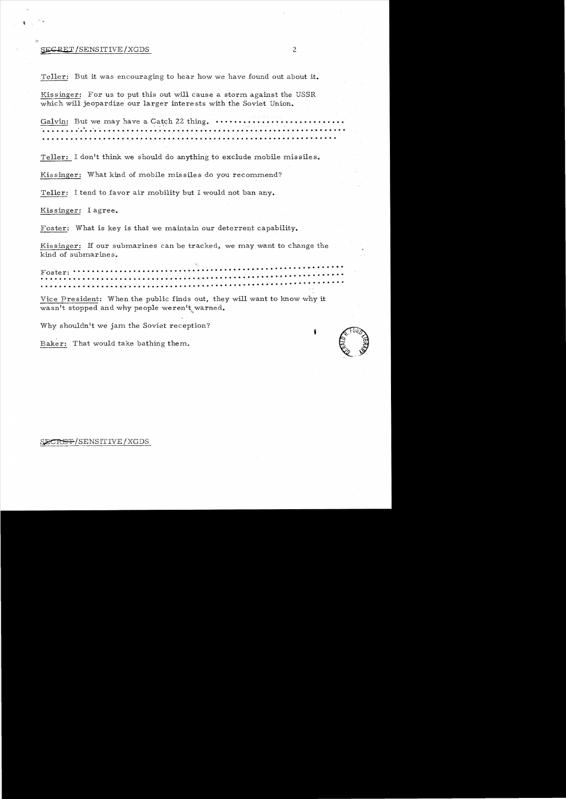#### ${SECREL}/SENSTITIVE}/XGDS$  2

Teller: But it was encouraging to hear how we have found out about it.

Kissinger: For us to put this out will cause a storm against the USSR which will jeopardize our larger intere sts with the Soviet Union.

Galvin: But we may have a Cc:t.<;:h 22 thing. • ••••••••••••••••••••••••••• .. '1 •• . . ... . ... . . . . . . . . . . . . . . . ., ................................**.. ...... .**  .. . . . . . . . . . . . **.'. . . . .. . . . . . . . . . . . . . . . . . . . . . . . . . . . .. . . . . . . . . . . ' . . . ..** 

Teller: I don't think we should do anything to exclude mobile missiles.

Kissinger: What kind of mobile missiles do you recommend?

Teller: I tend to favor air mobility but I would not ban any.

Kissinger: I agree.

Foster: What is key is that we maintain our deterrent capability.

Kissinger: If our submarines can be tracked, we may want to change the kind of submarines.

•• • • • • **• • \_.............................,' ••••••••••••••••••' ••• 4f •** يم<br>Foster: ۲۰۰۰ نفر نور ۲۰۰۰ نفر نور در ۲۰۰۰ نفر نور در ۲۰۰۰ نفر نور در ۲۰۰۰ نفر نور ۲۰۰۰ نفر نور تا تا تا تاک<br>۲۰۰۰ نفر نور ۲۰۰۰ نفر نور در ۲۰۰۰ نفر نور در ۲۰۰۰ نفر نور در ۲۰۰۰ نفر نور در ۲۰۰۰ نفر نور در ۲۰۰۰ نفر نور در ۲

Vice President: When the public finds out, they will want to know why it wasn't stopped and why people weren't warned.

Why shouldn't we jam the Soviet reception? Why shouldn't we jam the Soviet reception?<br>Baker: That would take bathing them.<br> $\begin{pmatrix} 0 & 0 \\ 0 & 0 \end{pmatrix}$ 

#### SECRET/SENSITIVE/XGDS